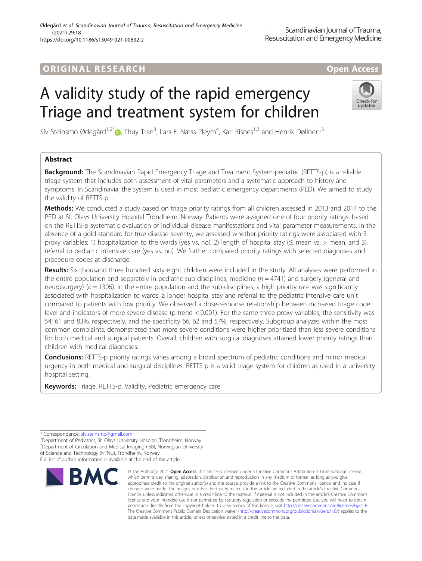# ORIGINA L R E S EA RCH Open Access

# A validity study of the rapid emergency Triage and treatment system for children



Siv Steinsmo Ødegård<sup>1,2\*</sup>®, Thuy Tran<sup>3</sup>, Lars E. Næss-Pleym<sup>4</sup>, Kari Risnes<sup>1,3</sup> and Henrik Døllner<sup>1,3</sup>

# Abstract

**Background:** The Scandinavian Rapid Emergency Triage and Treatment System-pediatric (RETTS-p) is a reliable triage system that includes both assessment of vital parameters and a systematic approach to history and symptoms. In Scandinavia, the system is used in most pediatric emergency departments (PED). We aimed to study the validity of RETTS-p.

Methods: We conducted a study based on triage priority ratings from all children assessed in 2013 and 2014 to the PED at St. Olavs University Hospital Trondheim, Norway. Patients were assigned one of four priority ratings, based on the RETTS-p systematic evaluation of individual disease manifestations and vital parameter measurements. In the absence of a gold-standard for true disease severity, we assessed whether priority ratings were associated with 3 proxy variables: 1) hospitalization to the wards (yes vs. no), 2) length of hospital stay ( $\leq$  mean vs. > mean, and 3) referral to pediatric intensive care (yes vs. no). We further compared priority ratings with selected diagnoses and procedure codes at discharge.

Results: Six thousand three hundred sixty-eight children were included in the study. All analyses were performed in the entire population and separately in pediatric sub-disciplines, medicine  $(n = 4741)$  and surgery (general and neurosurgery) ( $n = 1306$ ). In the entire population and the sub-disciplines, a high priority rate was significantly associated with hospitalization to wards, a longer hospital stay and referral to the pediatric intensive care unit compared to patients with low priority. We observed a dose-response relationship between increased triage code level and indicators of more severe disease (p-trend < 0.001). For the same three proxy variables, the sensitivity was 54, 61 and 83%, respectively, and the specificity 66, 62 and 57%, respectively. Subgroup analyzes within the most common complaints, demonstrated that more severe conditions were higher prioritized than less severe conditions for both medical and surgical patients. Overall, children with surgical diagnoses attained lower priority ratings than children with medical diagnoses.

**Conclusions:** RETTS-p priority ratings varies among a broad spectrum of pediatric conditions and mirror medical urgency in both medical and surgical disciplines. RETTS-p is a valid triage system for children as used in a university hospital setting.

Keywords: Triage, RETTS-p, Validity, Pediatric emergency care

Full list of author information is available at the end of the article



<sup>©</sup> The Author(s), 2021 **Open Access** This article is licensed under a Creative Commons Attribution 4.0 International License, which permits use, sharing, adaptation, distribution and reproduction in any medium or format, as long as you give appropriate credit to the original author(s) and the source, provide a link to the Creative Commons licence, and indicate if changes were made. The images or other third party material in this article are included in the article's Creative Commons licence, unless indicated otherwise in a credit line to the material. If material is not included in the article's Creative Commons licence and your intended use is not permitted by statutory regulation or exceeds the permitted use, you will need to obtain permission directly from the copyright holder. To view a copy of this licence, visit [http://creativecommons.org/licenses/by/4.0/.](http://creativecommons.org/licenses/by/4.0/) The Creative Commons Public Domain Dedication waiver [\(http://creativecommons.org/publicdomain/zero/1.0/](http://creativecommons.org/publicdomain/zero/1.0/)) applies to the data made available in this article, unless otherwise stated in a credit line to the data.

<sup>\*</sup> Correspondence: [siv.steinsmo@gmail.com](mailto:siv.steinsmo@gmail.com) <sup>1</sup>

<sup>&</sup>lt;sup>1</sup>Department of Pediatrics, St. Olavs University Hospital, Trondheim, Norway <sup>2</sup> Department of Circulation and Medical Imaging (ISB), Norwegian University of Science and Technology (NTNU), Trondheim, Norway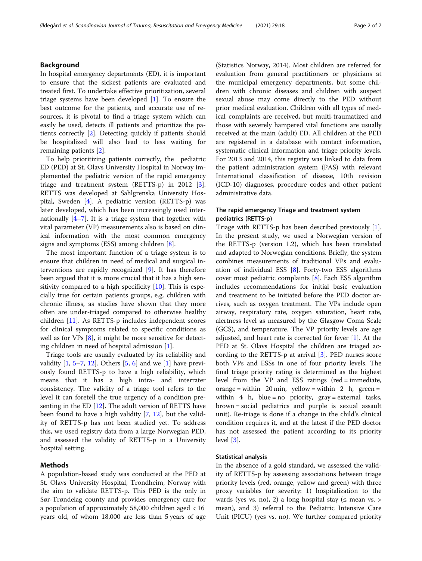# Background

In hospital emergency departments (ED), it is important to ensure that the sickest patients are evaluated and treated first. To undertake effective prioritization, several triage systems have been developed [\[1](#page-6-0)]. To ensure the best outcome for the patients, and accurate use of resources, it is pivotal to find a triage system which can easily be used, detects ill patients and prioritize the patients correctly [\[2](#page-6-0)]. Detecting quickly if patients should be hospitalized will also lead to less waiting for remaining patients [\[2](#page-6-0)].

To help prioritizing patients correctly, the pediatric ED (PED) at St. Olavs University Hospital in Norway implemented the pediatric version of the rapid emergency triage and treatment system (RETTS-p) in 2012 [\[3](#page-6-0)]. RETTS was developed at Sahlgrenska University Hospital, Sweden [[4\]](#page-6-0). A pediatric version (RETTS-p) was later developed, which has been increasingly used internationally  $[4-7]$  $[4-7]$  $[4-7]$  $[4-7]$  $[4-7]$ . It is a triage system that together with vital parameter (VP) measurements also is based on clinical information with the most common emergency signs and symptoms (ESS) among children [[8\]](#page-6-0).

The most important function of a triage system is to ensure that children in need of medical and surgical interventions are rapidly recognized [\[9](#page-6-0)]. It has therefore been argued that it is more crucial that it has a high sensitivity compared to a high specificity [[10\]](#page-6-0). This is especially true for certain patients groups, e.g. children with chronic illness, as studies have shown that they more often are under-triaged compared to otherwise healthy children [\[11](#page-6-0)]. As RETTS-p includes independent scores for clinical symptoms related to specific conditions as well as for VPs [\[8](#page-6-0)], it might be more sensitive for detecting children in need of hospital admission [\[1](#page-6-0)].

Triage tools are usually evaluated by its reliability and validity  $[1, 5-7, 12]$  $[1, 5-7, 12]$  $[1, 5-7, 12]$  $[1, 5-7, 12]$  $[1, 5-7, 12]$  $[1, 5-7, 12]$  $[1, 5-7, 12]$ . Others  $[5, 6]$  $[5, 6]$  $[5, 6]$  $[5, 6]$  and we  $[1]$  $[1]$  have previously found RETTS-p to have a high reliability, which means that it has a high intra- and interrater consistency. The validity of a triage tool refers to the level it can foretell the true urgency of a condition presenting in the ED  $[12]$  $[12]$ . The adult version of RETTS have been found to have a high validity [\[7](#page-6-0), [12\]](#page-6-0), but the validity of RETTS-p has not been studied yet. To address this, we used registry data from a large Norwegian PED, and assessed the validity of RETTS-p in a University hospital setting.

# Methods

A population-based study was conducted at the PED at St. Olavs University Hospital, Trondheim, Norway with the aim to validate RETTS-p. This PED is the only in Sør-Trøndelag county and provides emergency care for a population of approximately 58,000 children aged < 16 years old, of whom 18,000 are less than 5 years of age

(Statistics Norway, 2014). Most children are referred for evaluation from general practitioners or physicians at the municipal emergency departments, but some children with chronic diseases and children with suspect sexual abuse may come directly to the PED without prior medical evaluation. Children with all types of medical complaints are received, but multi-traumatized and those with severely hampered vital functions are usually received at the main (adult) ED. All children at the PED are registered in a database with contact information, systematic clinical information and triage priority levels. For 2013 and 2014, this registry was linked to data from the patient administration system (PAS) with relevant International classification of disease, 10th revision (ICD-10) diagnoses, procedure codes and other patient administrative data.

# The rapid emergency Triage and treatment system pediatrics (RETTS-p)

Triage with RETTS-p has been described previously [\[1](#page-6-0)]. In the present study, we used a Norwegian version of the RETTS-p (version 1.2), which has been translated and adapted to Norwegian conditions. Briefly, the system combines measurements of traditional VPs and evaluation of individual ESS [\[8](#page-6-0)]. Forty-two ESS algorithms cover most pediatric complaints [[8\]](#page-6-0). Each ESS algorithm includes recommendations for initial basic evaluation and treatment to be initiated before the PED doctor arrives, such as oxygen treatment. The VPs include open airway, respiratory rate, oxygen saturation, heart rate, alertness level as measured by the Glasgow Coma Scale (GCS), and temperature. The VP priority levels are age adjusted, and heart rate is corrected for fever [[1\]](#page-6-0). At the PED at St. Olavs Hospital the children are triaged according to the RETTS-p at arrival [\[3](#page-6-0)]. PED nurses score both VPs and ESSs in one of four priority levels. The final triage priority rating is determined as the highest level from the VP and ESS ratings (red = immediate, orange = within 20 min, yellow = within 2 h, green = within  $4$  h, blue = no priority, gray = external tasks, brown = social pediatrics and purple is sexual assault unit). Re-triage is done if a change in the child's clinical condition requires it, and at the latest if the PED doctor has not assessed the patient according to its priority level [\[3](#page-6-0)].

### Statistical analysis

In the absence of a gold standard, we assessed the validity of RETTS-p by assessing associations between triage priority levels (red, orange, yellow and green) with three proxy variables for severity: 1) hospitalization to the wards (yes vs. no), 2) a long hospital stay ( $\leq$  mean vs.  $>$ mean), and 3) referral to the Pediatric Intensive Care Unit (PICU) (yes vs. no). We further compared priority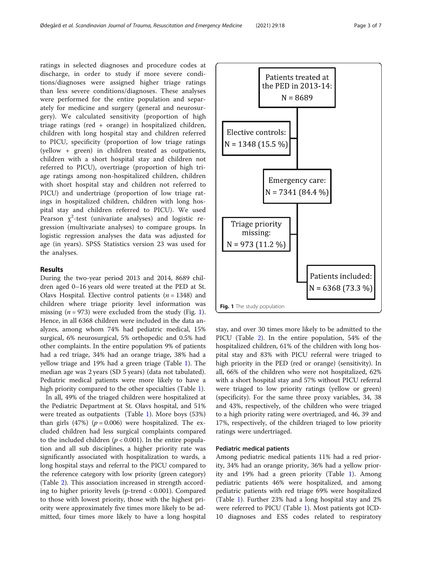ratings in selected diagnoses and procedure codes at discharge, in order to study if more severe conditions/diagnoses were assigned higher triage ratings than less severe conditions/diagnoses. These analyses were performed for the entire population and separately for medicine and surgery (general and neurosurgery). We calculated sensitivity (proportion of high triage ratings (red + orange) in hospitalized children, children with long hospital stay and children referred to PICU, specificity (proportion of low triage ratings (yellow + green) in children treated as outpatients, children with a short hospital stay and children not referred to PICU), overtriage (proportion of high triage ratings among non-hospitalized children, children with short hospital stay and children not referred to PICU) and undertriage (proportion of low triage ratings in hospitalized children, children with long hospital stay and children referred to PICU). We used Pearson  $\chi^2$ -test (univariate analyses) and logistic regression (multivariate analyses) to compare groups. In logistic regression analyses the data was adjusted for age (in years). SPSS Statistics version 23 was used for the analyses.

# Results

During the two-year period 2013 and 2014, 8689 children aged 0–16 years old were treated at the PED at St. Olavs Hospital. Elective control patients  $(n = 1348)$  and children where triage priority level information was missing ( $n = 973$ ) were excluded from the study (Fig. 1). Hence, in all 6368 children were included in the data analyzes, among whom 74% had pediatric medical, 15% surgical, 6% neurosurgical, 5% orthopedic and 0.5% had other complaints. In the entire population 9% of patients had a red triage, 34% had an orange triage, 38% had a yellow triage and 19% had a green triage (Table [1](#page-3-0)). The median age was 2 years (SD 5 years) (data not tabulated). Pediatric medical patients were more likely to have a high priority compared to the other specialties (Table [1](#page-3-0)).

In all, 49% of the triaged children were hospitalized at the Pediatric Department at St. Olavs hospital, and 51% were treated as outpatients (Table [1\)](#page-3-0). More boys (53%) than girls (47%) ( $p = 0.006$ ) were hospitalized. The excluded children had less surgical complaints compared to the included children  $(p < 0.001)$ . In the entire population and all sub disciplines, a higher priority rate was significantly associated with hospitalization to wards, a long hospital stays and referral to the PICU compared to the reference category with low priority (green category) (Table [2](#page-4-0)). This association increased in strength according to higher priority levels (p-trend < 0.001). Compared to those with lowest priority, those with the highest priority were approximately five times more likely to be admitted, four times more likely to have a long hospital



stay, and over 30 times more likely to be admitted to the PICU (Table [2\)](#page-4-0). In the entire population, 54% of the hospitalized children, 61% of the children with long hospital stay and 83% with PICU referral were triaged to high priority in the PED (red or orange) (sensitivity). In all, 66% of the children who were not hospitalized, 62% with a short hospital stay and 57% without PICU referral were triaged to low priority ratings (yellow or green) (specificity). For the same three proxy variables, 34, 38 and 43%, respectively, of the children who were triaged to a high priority rating were overtriaged, and 46, 39 and 17%, respectively, of the children triaged to low priority ratings were undertriaged.

# Pediatric medical patients

Among pediatric medical patients 11% had a red priority, 34% had an orange priority, 36% had a yellow priority and 19% had a green priority (Table [1](#page-3-0)). Among pediatric patients 46% were hospitalized, and among pediatric patients with red triage 69% were hospitalized (Table [1\)](#page-3-0). Further 23% had a long hospital stay and 2% were referred to PICU (Table [1\)](#page-3-0). Most patients got ICD-10 diagnoses and ESS codes related to respiratory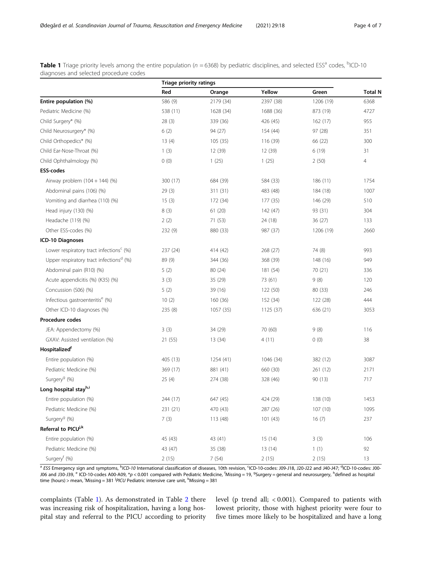<span id="page-3-0"></span>Table 1 Triage priority levels among the entire population (n = 6368) by pediatric disciplines, and selected ESS<sup>a</sup> codes, <sup>b</sup>ICD-10 diagnoses and selected procedure codes

|                                                     | Triage priority ratings |           |           |           |                |  |
|-----------------------------------------------------|-------------------------|-----------|-----------|-----------|----------------|--|
|                                                     | Red                     | Orange    | Yellow    | Green     | <b>Total N</b> |  |
| Entire population (%)                               | 586 (9)                 | 2179 (34) | 2397 (38) | 1206 (19) | 6368           |  |
| Pediatric Medicine (%)                              | 538 (11)                | 1628 (34) | 1688 (36) | 873 (19)  | 4727           |  |
| Child Surgery* (%)                                  | 28(3)                   | 339 (36)  | 426 (45)  | 162(17)   | 955            |  |
| Child Neurosurgery* (%)                             | 6(2)                    | 94 (27)   | 154 (44)  | 97(28)    | 351            |  |
| Child Orthopedics* (%)                              | 13(4)                   | 105(35)   | 116 (39)  | 66 (22)   | 300            |  |
| Child Ear-Nose-Throat (%)                           | 1(3)                    | 12 (39)   | 12 (39)   | 6(19)     | 31             |  |
| Child Ophthalmology (%)                             | 0(0)                    | 1(25)     | 1(25)     | 2(50)     | 4              |  |
| <b>ESS-codes</b>                                    |                         |           |           |           |                |  |
| Airway problem $(104 + 144)$ (%)                    | 300 (17)                | 684 (39)  | 584 (33)  | 186 (11)  | 1754           |  |
| Abdominal pains (106) (%)                           | 29(3)                   | 311 (31)  | 483 (48)  | 184 (18)  | 1007           |  |
| Vomiting and diarrhea (110) (%)                     | 15(3)                   | 172 (34)  | 177 (35)  | 146 (29)  | 510            |  |
| Head injury (130) (%)                               | 8(3)                    | 61(20)    | 142 (47)  | 93 (31)   | 304            |  |
| Headache (119) (%)                                  | 2(2)                    | 71 (53)   | 24 (18)   | 36(27)    | 133            |  |
| Other ESS-codes (%)                                 | 232 (9)                 | 880 (33)  | 987 (37)  | 1206 (19) | 2660           |  |
| ICD-10 Diagnoses                                    |                         |           |           |           |                |  |
| Lower respiratory tract infections <sup>c</sup> (%) | 237 (24)                | 414 (42)  | 268 (27)  | 74 (8)    | 993            |  |
| Upper respiratory tract infections <sup>d</sup> (%) | 89 (9)                  | 344 (36)  | 368 (39)  | 148 (16)  | 949            |  |
| Abdominal pain (R10) (%)                            | 5(2)                    | 80(24)    | 181 (54)  | 70 (21)   | 336            |  |
| Acute appendicitis (%) (K35) (%)                    | 3(3)                    | 35 (29)   | 73 (61)   | 9(8)      | 120            |  |
| Concussion (S06) (%)                                | 5(2)                    | 39 (16)   | 122 (50)  | 80 (33)   | 246            |  |
| Infectious gastroenteritis <sup>e</sup> (%)         | 10(2)                   | 160 (36)  | 152 (34)  | 122 (28)  | 444            |  |
| Other ICD-10 diagnoses (%)                          | 235 (8)                 | 1057 (35) | 1125 (37) | 636 (21)  | 3053           |  |
| Procedure codes                                     |                         |           |           |           |                |  |
| JEA: Appendectomy (%)                               | 3(3)                    | 34 (29)   | 70 (60)   | 9(8)      | 116            |  |
| GXAV: Assisted ventilation (%)                      | 21 (55)                 | 13(34)    | 4(11)     | 0(0)      | 38             |  |
| Hospitalizedf                                       |                         |           |           |           |                |  |
| Entire population (%)                               | 405 (13)                | 1254 (41) | 1046 (34) | 382 (12)  | 3087           |  |
| Pediatric Medicine (%)                              | 369 (17)                | 881 (41)  | 660 (30)  | 261 (12)  | 2171           |  |
| Surgery <sup>g</sup> (%)                            | 25(4)                   | 274 (38)  | 328 (46)  | 90(13)    | 717            |  |
| Long hospital stayh,i                               |                         |           |           |           |                |  |
| Entire population (%)                               | 244 (17)                | 647 (45)  | 424 (29)  | 138 (10)  | 1453           |  |
| Pediatric Medicine (%)                              | 231 (21)                | 470 (43)  | 287 (26)  | 107 (10)  | 1095           |  |
| Surgery <sup>9</sup> (%)                            | 7(3)                    | 113 (48)  | 101(43)   | 16(7)     | 237            |  |
| Referral to PICU <sup>j,k</sup>                     |                         |           |           |           |                |  |
| Entire population (%)                               | 45 (43)                 | 43 (41)   | 15(14)    | 3(3)      | 106            |  |
| Pediatric Medicine (%)                              | 43 (47)                 | 35 (38)   | 13(14)    | 1(1)      | 92             |  |
| Surgery <sup>f</sup> (%)                            | 2(15)                   | 7(54)     | 2(15)     | 2(15)     | 13             |  |

<sup>a</sup> ESS Emergency sign and symptoms, <sup>b</sup>ICD-10 International classification of diseases, 10th revision, <sup>c</sup>ICD-10-codes: J09-J18, J20-J22 and J40-J47; <sup>d</sup>ICD-10-codes: J00-J06 and J30-J39, <sup>e</sup> ICD-10-codes A00-A09, \*p < 0.001 compared with Pediatric Medicine, <sup>f</sup>Missing = 19, <sup>g</sup>Surgery = general and neurosurgery, <sup>h</sup>defined as hospital time (hours) > mean, <sup>i</sup>Missing = 381 <sup>j</sup>PICU Pediatric intensive care unit, <sup>k</sup>Missing = 381

complaints (Table 1). As demonstrated in Table [2](#page-4-0) there was increasing risk of hospitalization, having a long hospital stay and referral to the PICU according to priority level (p trend all; < 0.001). Compared to patients with lowest priority, those with highest priority were four to five times more likely to be hospitalized and have a long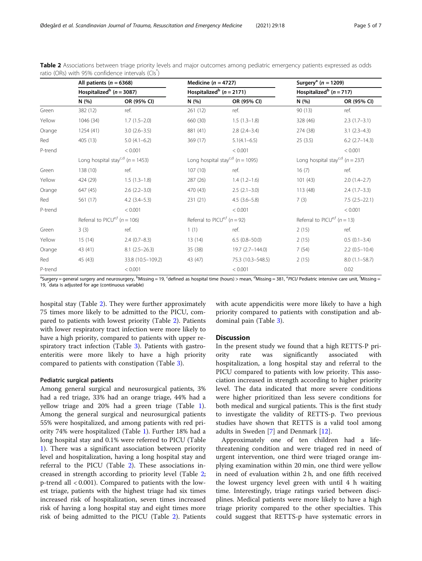|         | All patients ( $n = 6368$ )<br>Hospitalized <sup>b</sup> ( $n = 3087$ ) |                   | Medicine ( $n = 4727$ )<br>Hospitalized <sup>b</sup> ( $n = 2171$ ) |                   |          | Surgery <sup>a</sup> ( $n = 1209$ )<br>Hospitalized <sup>b</sup> ( $n = 717$ ) |  |
|---------|-------------------------------------------------------------------------|-------------------|---------------------------------------------------------------------|-------------------|----------|--------------------------------------------------------------------------------|--|
|         |                                                                         |                   |                                                                     |                   |          |                                                                                |  |
|         | N (%)                                                                   | OR (95% CI)       | N (%)                                                               | OR (95% CI)       | N(%)     | OR (95% CI)                                                                    |  |
| Green   | 382 (12)                                                                | ref.              | 261(12)                                                             | ref.              | 90(13)   | ref.                                                                           |  |
| Yellow  | 1046 (34)                                                               | $1.7(1.5-2.0)$    | 660 (30)                                                            | $1.5(1.3-1.8)$    | 328 (46) | $2.3(1.7-3.1)$                                                                 |  |
| Orange  | 1254(41)                                                                | $3.0(2.6-3.5)$    | 881 (41)                                                            | $2.8$ $(2.4-3.4)$ | 274 (38) | $3.1(2.3-4.3)$                                                                 |  |
| Red     | 405 (13)                                                                | $5.0(4.1-6.2)$    | 369 (17)                                                            | $5.1(4.1 - 6.5)$  | 25(3.5)  | $6.2$ (2.7-14.3)                                                               |  |
| P-trend |                                                                         | < 0.001           |                                                                     | < 0.001           |          | < 0.001                                                                        |  |
|         | Long hospital stay <sup>c,d</sup> ( $n = 1453$ )                        |                   | Long hospital stay <sup>c,d</sup> ( $n = 1095$ )                    |                   |          | Long hospital stay <sup>c,d</sup> ( $n = 237$ )                                |  |
| Green   | 138 (10)                                                                | ref.              | 107(10)                                                             | ref.              | 16(7)    | ref.                                                                           |  |
| Yellow  | 424 (29)                                                                | $1.5(1.3-1.8)$    | 287 (26)                                                            | $1.4(1.2-1.6)$    | 101(43)  | $2.0(1.4-2.7)$                                                                 |  |
| Orange  | 647 (45)                                                                | $2.6(2.2 - 3.0)$  | 470 (43)                                                            | $2.5(2.1-3.0)$    | 113 (48) | $2.4(1.7-3.3)$                                                                 |  |
| Red     | 561 (17)                                                                | $4.2$ $(3.4-5.3)$ | 231(21)                                                             | $4.5(3.6 - 5.8)$  | 7(3)     | $7.5(2.5-22.1)$                                                                |  |
| P-trend |                                                                         | < 0.001           |                                                                     | < 0.001           |          | < 0.001                                                                        |  |
|         | Referral to PICU <sup>e,f</sup> ( $n = 106$ )                           |                   | Referral to PICU <sup>e,f</sup> ( $n = 92$ )                        |                   |          | Referral to PICU <sup>e,f</sup> ( $n = 13$ )                                   |  |
| Green   | 3(3)                                                                    | ref.              | 1(1)                                                                | ref.              | 2(15)    | ref.                                                                           |  |
| Yellow  | 15(14)                                                                  | $2.4(0.7-8.3)$    | 13(14)                                                              | $6.5(0.8 - 50.0)$ | 2(15)    | $0.5(0.1 - 3.4)$                                                               |  |
| Orange  | 43 (41)                                                                 | $8.1(2.5-26.3)$   | 35(38)                                                              | 19.7 (2.7-144.0)  | 7(54)    | $2.2(0.5-10.4)$                                                                |  |
| Red     | 45 (43)                                                                 | 33.8 (10.5-109.2) | 43 (47)                                                             | 75.3 (10.3-548.5) | 2(15)    | $8.0(1.1 - 58.7)$                                                              |  |
| P-trend |                                                                         | < 0.001           |                                                                     | < 0.001           |          | 0.02                                                                           |  |

<span id="page-4-0"></span>Table 2 Associations between triage priority levels and major outcomes among pediatric emergency patients expressed as odds ratio (ORs) with 95% confidence intervals (CIs<sup>\*</sup>)

<sup>a</sup>Surgery = general surgery and neurosurgery, <sup>b</sup>Missing = 19, <sup>c</sup>defined as hospital time (hours) > mean, <sup>d</sup>Missing = 381, <sup>e</sup>PICU Pediatric intensive care unit, <sup>f</sup>Missing = 19, \* data is adjusted for age (continuous variable)

hospital stay (Table 2). They were further approximately 75 times more likely to be admitted to the PICU, compared to patients with lowest priority (Table 2). Patients with lower respiratory tract infection were more likely to have a high priority, compared to patients with upper respiratory tract infection (Table [3](#page-5-0)). Patients with gastroenteritis were more likely to have a high priority compared to patients with constipation (Table [3\)](#page-5-0).

## Pediatric surgical patients

Among general surgical and neurosurgical patients, 3% had a red triage, 33% had an orange triage, 44% had a yellow triage and 20% had a green triage (Table [1](#page-3-0)). Among the general surgical and neurosurgical patients 55% were hospitalized, and among patients with red priority 74% were hospitalized (Table [1](#page-3-0)). Further 18% had a long hospital stay and 0.1% were referred to PICU (Table [1\)](#page-3-0). There was a significant association between priority level and hospitalization, having a long hospital stay and referral to the PICU (Table 2). These associations increased in strength according to priority level (Table 2; p-trend all < 0.001). Compared to patients with the lowest triage, patients with the highest triage had six times increased risk of hospitalization, seven times increased risk of having a long hospital stay and eight times more risk of being admitted to the PICU (Table 2). Patients with acute appendicitis were more likely to have a high priority compared to patients with constipation and abdominal pain (Table [3\)](#page-5-0).

#### **Discussion**

In the present study we found that a high RETTS-P priority rate was significantly associated with hospitalization, a long hospital stay and referral to the PICU compared to patients with low priority. This association increased in strength according to higher priority level. The data indicated that more severe conditions were higher prioritized than less severe conditions for both medical and surgical patients. This is the first study to investigate the validity of RETTS-p. Two previous studies have shown that RETTS is a valid tool among adults in Sweden [\[7](#page-6-0)] and Denmark [[12](#page-6-0)].

Approximately one of ten children had a lifethreatening condition and were triaged red in need of urgent intervention, one third were triaged orange implying examination within 20 min, one third were yellow in need of evaluation within 2 h, and one fifth received the lowest urgency level green with until 4 h waiting time. Interestingly, triage ratings varied between disciplines. Medical patients were more likely to have a high triage priority compared to the other specialties. This could suggest that RETTS-p have systematic errors in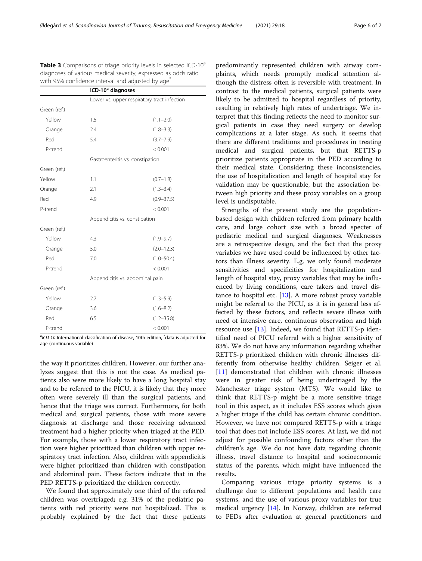<span id="page-5-0"></span>Table 3 Comparisons of triage priority levels in selected ICD-10<sup>a</sup> diagnoses of various medical severity, expressed as odds ratio with 95% confidence interval and adjusted by age<sup>\*</sup>

|              | ICD-10 <sup>a</sup> diagnoses |                                             |  |  |
|--------------|-------------------------------|---------------------------------------------|--|--|
|              |                               | Lower vs. upper respiratory tract infection |  |  |
| Green (ref.) |                               |                                             |  |  |
| Yellow       | 1.5                           | $(1.1 - 2.0)$                               |  |  |
| Orange       | 2.4                           | $(1.8 - 3.3)$                               |  |  |
| Red          | 5.4                           | $(3.7 - 7.9)$                               |  |  |
| P-trend      |                               | < 0.001                                     |  |  |
|              |                               | Gastroenteritis vs. constipation            |  |  |
| Green (ref.) |                               |                                             |  |  |
| Yellow       | 1.1                           | $(0.7 - 1.8)$                               |  |  |
| Orange       | 2.1                           | $(1.3 - 3.4)$                               |  |  |
| Red          | 4.9                           | $(0.9 - 37.5)$                              |  |  |
| P-trend      |                               | < 0.001                                     |  |  |
|              |                               | Appendicitis vs. constipation               |  |  |
| Green (ref.) |                               |                                             |  |  |
| Yellow       | 4.3                           | $(1.9 - 9.7)$                               |  |  |
| Orange       | 5.0                           | $(2.0 - 12.3)$                              |  |  |
| Red          | 7.0                           | $(1.0 - 50.4)$                              |  |  |
| P-trend      |                               | < 0.001                                     |  |  |
|              |                               | Appendicitis vs. abdominal pain             |  |  |
| Green (ref.) |                               |                                             |  |  |
| Yellow       | 2.7                           | $(1.3 - 5.9)$                               |  |  |
| Orange       | 3.6                           | $(1.6 - 8.2)$                               |  |  |
| Red          | 6.5                           | $(1.2 - 35.8)$                              |  |  |
| P-trend      |                               | < 0.001                                     |  |  |

<sup>a</sup>ICD-10 International classification of disease, 10th edition, <sup>\*</sup>data is adjusted for age (continuous variable)

the way it prioritizes children. However, our further analyzes suggest that this is not the case. As medical patients also were more likely to have a long hospital stay and to be referred to the PICU, it is likely that they more often were severely ill than the surgical patients, and hence that the triage was correct. Furthermore, for both medical and surgical patients, those with more severe diagnosis at discharge and those receiving advanced treatment had a higher priority when triaged at the PED. For example, those with a lower respiratory tract infection were higher prioritized than children with upper respiratory tract infection. Also, children with appendicitis were higher prioritized than children with constipation and abdominal pain. These factors indicate that in the PED RETTS-p prioritized the children correctly.

We found that approximately one third of the referred children was overtriaged; e.g. 31% of the pediatric patients with red priority were not hospitalized. This is probably explained by the fact that these patients

predominantly represented children with airway complaints, which needs promptly medical attention although the distress often is reversible with treatment. In contrast to the medical patients, surgical patients were likely to be admitted to hospital regardless of priority, resulting in relatively high rates of undertriage. We interpret that this finding reflects the need to monitor surgical patients in case they need surgery or develop complications at a later stage. As such, it seems that there are different traditions and procedures in treating medical and surgical patients, but that RETTS-p prioritize patients appropriate in the PED according to their medical state. Considering these inconsistencies, the use of hospitalization and length of hospital stay for validation may be questionable, but the association between high priority and these proxy variables on a group level is undisputable.

Strengths of the present study are the populationbased design with children referred from primary health care, and large cohort size with a broad specter of pediatric medical and surgical diagnoses. Weaknesses are a retrospective design, and the fact that the proxy variables we have used could be influenced by other factors than illness severity. E.g. we only found moderate sensitivities and specificities for hospitalization and length of hospital stay, proxy variables that may be influenced by living conditions, care takers and travel distance to hospital etc. [\[13](#page-6-0)]. A more robust proxy variable might be referral to the PICU, as it is in general less affected by these factors, and reflects severe illness with need of intensive care, continuous observation and high resource use  $[13]$  $[13]$ . Indeed, we found that RETTS-p identified need of PICU referral with a higher sensitivity of 83%. We do not have any information regarding whether RETTS-p prioritized children with chronic illnesses differently from otherwise healthy children. Seiger et al. [[11\]](#page-6-0) demonstrated that children with chronic illnesses were in greater risk of being undertriaged by the Manchester triage system (MTS). We would like to think that RETTS-p might be a more sensitive triage tool in this aspect, as it includes ESS scores which gives a higher triage if the child has certain chronic condition. However, we have not compared RETTS-p with a triage tool that does not include ESS scores. At last, we did not adjust for possible confounding factors other than the children's age. We do not have data regarding chronic illness, travel distance to hospital and socioeconomic status of the parents, which might have influenced the results.

Comparing various triage priority systems is a challenge due to different populations and health care systems, and the use of various proxy variables for true medical urgency [[14](#page-6-0)]. In Norway, children are referred to PEDs after evaluation at general practitioners and